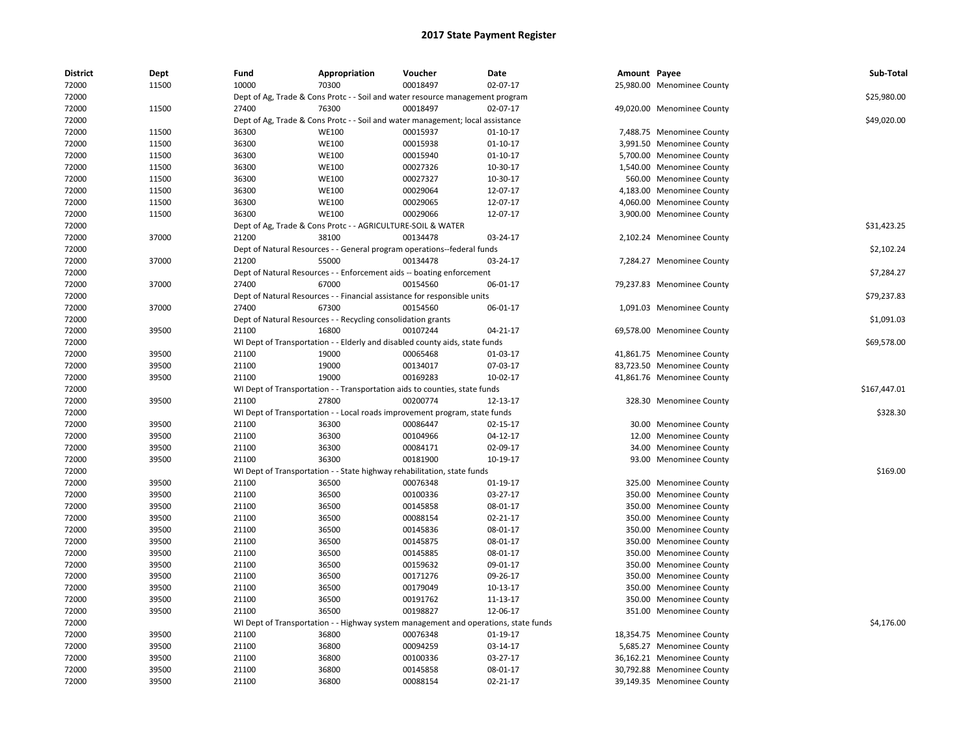| <b>District</b> | Dept  | Fund  | Appropriation                                                | Voucher                                                                             | Date           | Amount Payee |                            | Sub-Total    |
|-----------------|-------|-------|--------------------------------------------------------------|-------------------------------------------------------------------------------------|----------------|--------------|----------------------------|--------------|
| 72000           | 11500 | 10000 | 70300                                                        | 00018497                                                                            | 02-07-17       |              | 25,980.00 Menominee County |              |
| 72000           |       |       |                                                              | Dept of Ag, Trade & Cons Protc - - Soil and water resource management program       |                |              |                            | \$25,980.00  |
| 72000           | 11500 | 27400 | 76300                                                        | 00018497                                                                            | 02-07-17       |              | 49,020.00 Menominee County |              |
| 72000           |       |       |                                                              | Dept of Ag, Trade & Cons Protc - - Soil and water management; local assistance      |                |              |                            | \$49,020.00  |
| 72000           | 11500 | 36300 | <b>WE100</b>                                                 | 00015937                                                                            | $01 - 10 - 17$ |              | 7,488.75 Menominee County  |              |
| 72000           | 11500 | 36300 | <b>WE100</b>                                                 | 00015938                                                                            | $01 - 10 - 17$ |              | 3,991.50 Menominee County  |              |
| 72000           | 11500 | 36300 | <b>WE100</b>                                                 | 00015940                                                                            | 01-10-17       |              | 5,700.00 Menominee County  |              |
| 72000           | 11500 | 36300 | <b>WE100</b>                                                 | 00027326                                                                            | 10-30-17       |              | 1,540.00 Menominee County  |              |
| 72000           | 11500 | 36300 | <b>WE100</b>                                                 | 00027327                                                                            | 10-30-17       |              | 560.00 Menominee County    |              |
| 72000           | 11500 | 36300 | <b>WE100</b>                                                 | 00029064                                                                            | 12-07-17       |              | 4,183.00 Menominee County  |              |
| 72000           | 11500 | 36300 | <b>WE100</b>                                                 | 00029065                                                                            | 12-07-17       |              | 4,060.00 Menominee County  |              |
| 72000           | 11500 | 36300 | <b>WE100</b>                                                 | 00029066                                                                            | 12-07-17       |              | 3,900.00 Menominee County  |              |
| 72000           |       |       | Dept of Ag, Trade & Cons Protc - - AGRICULTURE-SOIL & WATER  |                                                                                     |                |              |                            | \$31,423.25  |
| 72000           | 37000 | 21200 | 38100                                                        | 00134478                                                                            | 03-24-17       |              | 2,102.24 Menominee County  |              |
| 72000           |       |       |                                                              | Dept of Natural Resources - - General program operations--federal funds             |                |              |                            | \$2,102.24   |
| 72000           | 37000 | 21200 | 55000                                                        | 00134478                                                                            | 03-24-17       |              | 7,284.27 Menominee County  |              |
| 72000           |       |       |                                                              | Dept of Natural Resources - - Enforcement aids -- boating enforcement               |                |              |                            | \$7,284.27   |
| 72000           | 37000 | 27400 | 67000                                                        | 00154560                                                                            | 06-01-17       |              | 79,237.83 Menominee County |              |
| 72000           |       |       |                                                              | Dept of Natural Resources - - Financial assistance for responsible units            |                |              |                            | \$79,237.83  |
| 72000           | 37000 | 27400 | 67300                                                        | 00154560                                                                            | 06-01-17       |              | 1,091.03 Menominee County  |              |
| 72000           |       |       | Dept of Natural Resources - - Recycling consolidation grants |                                                                                     |                |              |                            | \$1,091.03   |
| 72000           | 39500 | 21100 | 16800                                                        | 00107244                                                                            | 04-21-17       |              | 69,578.00 Menominee County |              |
| 72000           |       |       |                                                              | WI Dept of Transportation - - Elderly and disabled county aids, state funds         |                |              |                            | \$69,578.00  |
| 72000           | 39500 | 21100 | 19000                                                        | 00065468                                                                            | 01-03-17       |              | 41,861.75 Menominee County |              |
| 72000           | 39500 | 21100 | 19000                                                        | 00134017                                                                            | 07-03-17       |              | 83,723.50 Menominee County |              |
| 72000           | 39500 | 21100 | 19000                                                        | 00169283                                                                            | 10-02-17       |              | 41,861.76 Menominee County |              |
| 72000           |       |       |                                                              | WI Dept of Transportation - - Transportation aids to counties, state funds          |                |              |                            | \$167,447.01 |
| 72000           | 39500 | 21100 | 27800                                                        | 00200774                                                                            | 12-13-17       |              | 328.30 Menominee County    |              |
| 72000           |       |       |                                                              | WI Dept of Transportation - - Local roads improvement program, state funds          |                |              |                            | \$328.30     |
| 72000           | 39500 | 21100 | 36300                                                        | 00086447                                                                            | 02-15-17       |              | 30.00 Menominee County     |              |
| 72000           | 39500 | 21100 | 36300                                                        | 00104966                                                                            | 04-12-17       |              | 12.00 Menominee County     |              |
| 72000           | 39500 | 21100 | 36300                                                        | 00084171                                                                            | 02-09-17       |              | 34.00 Menominee County     |              |
| 72000           | 39500 | 21100 | 36300                                                        | 00181900                                                                            | 10-19-17       |              | 93.00 Menominee County     |              |
| 72000           |       |       |                                                              | WI Dept of Transportation - - State highway rehabilitation, state funds             |                |              |                            | \$169.00     |
| 72000           | 39500 | 21100 | 36500                                                        | 00076348                                                                            | 01-19-17       |              | 325.00 Menominee County    |              |
| 72000           | 39500 | 21100 | 36500                                                        | 00100336                                                                            | 03-27-17       |              | 350.00 Menominee County    |              |
| 72000           | 39500 | 21100 | 36500                                                        | 00145858                                                                            | 08-01-17       |              | 350.00 Menominee County    |              |
| 72000           | 39500 | 21100 | 36500                                                        | 00088154                                                                            | 02-21-17       |              | 350.00 Menominee County    |              |
| 72000           | 39500 | 21100 | 36500                                                        | 00145836                                                                            | 08-01-17       |              | 350.00 Menominee County    |              |
| 72000           | 39500 | 21100 | 36500                                                        | 00145875                                                                            | 08-01-17       |              | 350.00 Menominee County    |              |
| 72000           | 39500 | 21100 | 36500                                                        | 00145885                                                                            | 08-01-17       |              | 350.00 Menominee County    |              |
| 72000           | 39500 | 21100 | 36500                                                        | 00159632                                                                            | 09-01-17       |              | 350.00 Menominee County    |              |
| 72000           | 39500 | 21100 | 36500                                                        | 00171276                                                                            | 09-26-17       |              | 350.00 Menominee County    |              |
| 72000           | 39500 | 21100 | 36500                                                        | 00179049                                                                            | 10-13-17       |              | 350.00 Menominee County    |              |
| 72000           | 39500 | 21100 | 36500                                                        | 00191762                                                                            | 11-13-17       |              | 350.00 Menominee County    |              |
| 72000           | 39500 | 21100 | 36500                                                        | 00198827                                                                            | 12-06-17       |              | 351.00 Menominee County    |              |
| 72000           |       |       |                                                              | WI Dept of Transportation - - Highway system management and operations, state funds |                |              |                            | \$4,176.00   |
| 72000           | 39500 | 21100 | 36800                                                        | 00076348                                                                            | 01-19-17       |              | 18,354.75 Menominee County |              |
| 72000           | 39500 | 21100 | 36800                                                        | 00094259                                                                            | 03-14-17       |              | 5,685.27 Menominee County  |              |
| 72000           | 39500 | 21100 | 36800                                                        | 00100336                                                                            | 03-27-17       |              | 36,162.21 Menominee County |              |
| 72000           | 39500 | 21100 | 36800                                                        | 00145858                                                                            | 08-01-17       |              | 30,792.88 Menominee County |              |
|                 |       |       |                                                              |                                                                                     |                |              |                            |              |
| 72000           | 39500 | 21100 | 36800                                                        | 00088154                                                                            | 02-21-17       |              | 39,149.35 Menominee County |              |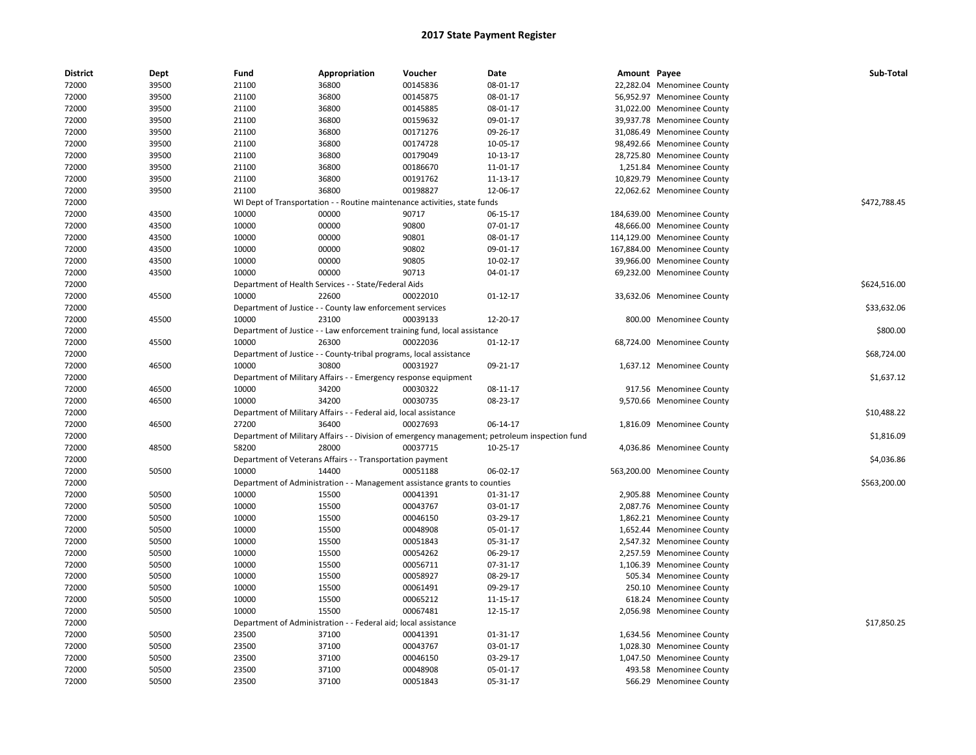| 72000<br>39500<br>21100<br>36800<br>00145836<br>08-01-17<br>22,282.04 Menominee County<br>72000<br>39500<br>21100<br>36800<br>00145875<br>08-01-17<br>56,952.97 Menominee County<br>72000<br>39500<br>21100<br>36800<br>00145885<br>08-01-17<br>31,022.00 Menominee County<br>00159632<br>72000<br>39500<br>21100<br>36800<br>09-01-17<br>39,937.78 Menominee County<br>72000<br>39500<br>21100<br>36800<br>00171276<br>09-26-17<br>31,086.49 Menominee County<br>72000<br>39500<br>21100<br>36800<br>00174728<br>10-05-17<br>98,492.66 Menominee County<br>39500<br>36800<br>00179049<br>28,725.80 Menominee County<br>72000<br>21100<br>10-13-17<br>39500<br>21100<br>36800<br>00186670<br>72000<br>11-01-17<br>1,251.84 Menominee County<br>72000<br>39500<br>21100<br>36800<br>00191762<br>11-13-17<br>10,829.79 Menominee County<br>36800<br>00198827<br>72000<br>39500<br>21100<br>12-06-17<br>22,062.62 Menominee County<br>\$472,788.45<br>72000<br>WI Dept of Transportation - - Routine maintenance activities, state funds<br>43500<br>10000<br>00000<br>90717<br>72000<br>06-15-17<br>184,639.00 Menominee County<br>90800<br>72000<br>43500<br>10000<br>00000<br>07-01-17<br>48,666.00 Menominee County<br>72000<br>43500<br>10000<br>00000<br>90801<br>08-01-17<br>114,129.00 Menominee County<br>10000<br>90802<br>72000<br>43500<br>00000<br>09-01-17<br>167,884.00 Menominee County<br>72000<br>43500<br>10000<br>00000<br>90805<br>10-02-17<br>39,966.00 Menominee County<br>90713<br>72000<br>43500<br>10000<br>00000<br>04-01-17<br>69,232.00 Menominee County<br>\$624,516.00<br>72000<br>Department of Health Services - - State/Federal Aids<br>72000<br>45500<br>10000<br>22600<br>00022010<br>$01 - 12 - 17$<br>33,632.06 Menominee County<br>72000<br>\$33,632.06<br>Department of Justice - - County law enforcement services<br>72000<br>45500<br>10000<br>23100<br>00039133<br>12-20-17<br>800.00 Menominee County<br>72000<br>Department of Justice - - Law enforcement training fund, local assistance<br>\$800.00<br>72000<br>45500<br>10000<br>26300<br>00022036<br>68,724.00 Menominee County<br>01-12-17<br>\$68,724.00<br>72000<br>Department of Justice - - County-tribal programs, local assistance<br>10000<br>30800<br>00031927<br>09-21-17<br>72000<br>46500<br>1,637.12 Menominee County<br>72000<br>\$1,637.12<br>Department of Military Affairs - - Emergency response equipment<br>46500<br>10000<br>34200<br>00030322<br>72000<br>08-11-17<br>917.56 Menominee County<br>46500<br>10000<br>34200<br>00030735<br>08-23-17<br>72000<br>9,570.66 Menominee County<br>72000<br>Department of Military Affairs - - Federal aid, local assistance<br>\$10,488.22<br>36400<br>00027693<br>72000<br>46500<br>27200<br>06-14-17<br>1,816.09 Menominee County<br>Department of Military Affairs - - Division of emergency management; petroleum inspection fund<br>\$1,816.09<br>72000<br>28000<br>00037715<br>72000<br>48500<br>58200<br>10-25-17<br>4,036.86 Menominee County<br>Department of Veterans Affairs - - Transportation payment<br>\$4,036.86<br>72000<br>10000<br>14400<br>00051188<br>72000<br>50500<br>06-02-17<br>563,200.00 Menominee County<br>Department of Administration - - Management assistance grants to counties<br>\$563,200.00<br>72000<br>72000<br>50500<br>10000<br>15500<br>00041391<br>01-31-17<br>2,905.88 Menominee County<br>72000<br>50500<br>10000<br>15500<br>00043767<br>03-01-17<br>2,087.76 Menominee County<br>50500<br>10000<br>15500<br>00046150<br>03-29-17<br>72000<br>1,862.21 Menominee County<br>00048908<br>72000<br>50500<br>10000<br>15500<br>05-01-17<br>1,652.44 Menominee County<br>00051843<br>72000<br>50500<br>10000<br>15500<br>05-31-17<br>2,547.32 Menominee County<br>72000<br>50500<br>10000<br>15500<br>00054262<br>06-29-17<br>2,257.59 Menominee County<br>10000<br>00056711<br>72000<br>50500<br>15500<br>07-31-17<br>1,106.39 Menominee County<br>10000<br>00058927<br>08-29-17<br>72000<br>50500<br>15500<br>505.34 Menominee County<br>72000<br>50500<br>10000<br>15500<br>00061491<br>09-29-17<br>250.10 Menominee County<br>10000<br>15500<br>00065212<br>72000<br>50500<br>11-15-17<br>618.24 Menominee County<br>72000<br>50500<br>10000<br>15500<br>00067481<br>12-15-17<br>2,056.98 Menominee County<br>\$17,850.25<br>72000<br>Department of Administration<br>- Federal aid; local assistance<br>72000<br>50500<br>23500<br>37100<br>00041391<br>01-31-17<br>1,634.56 Menominee County<br>72000<br>50500<br>23500<br>37100<br>00043767<br>03-01-17<br>1,028.30 Menominee County<br>23500<br>72000<br>50500<br>37100<br>00046150<br>03-29-17<br>1,047.50 Menominee County<br>72000<br>50500<br>23500<br>37100<br>00048908<br>05-01-17<br>493.58 Menominee County<br>72000<br>50500<br>23500<br>37100<br>00051843<br>05-31-17<br>566.29 Menominee County | <b>District</b> | Dept | Fund | Appropriation | Voucher | Date | Amount Payee | Sub-Total |
|---------------------------------------------------------------------------------------------------------------------------------------------------------------------------------------------------------------------------------------------------------------------------------------------------------------------------------------------------------------------------------------------------------------------------------------------------------------------------------------------------------------------------------------------------------------------------------------------------------------------------------------------------------------------------------------------------------------------------------------------------------------------------------------------------------------------------------------------------------------------------------------------------------------------------------------------------------------------------------------------------------------------------------------------------------------------------------------------------------------------------------------------------------------------------------------------------------------------------------------------------------------------------------------------------------------------------------------------------------------------------------------------------------------------------------------------------------------------------------------------------------------------------------------------------------------------------------------------------------------------------------------------------------------------------------------------------------------------------------------------------------------------------------------------------------------------------------------------------------------------------------------------------------------------------------------------------------------------------------------------------------------------------------------------------------------------------------------------------------------------------------------------------------------------------------------------------------------------------------------------------------------------------------------------------------------------------------------------------------------------------------------------------------------------------------------------------------------------------------------------------------------------------------------------------------------------------------------------------------------------------------------------------------------------------------------------------------------------------------------------------------------------------------------------------------------------------------------------------------------------------------------------------------------------------------------------------------------------------------------------------------------------------------------------------------------------------------------------------------------------------------------------------------------------------------------------------------------------------------------------------------------------------------------------------------------------------------------------------------------------------------------------------------------------------------------------------------------------------------------------------------------------------------------------------------------------------------------------------------------------------------------------------------------------------------------------------------------------------------------------------------------------------------------------------------------------------------------------------------------------------------------------------------------------------------------------------------------------------------------------------------------------------------------------------------------------------------------------------------------------------------------------------------------------------------------------------------------------------------------------------------------------------------------------------------------------------------------------------------------------------------------------------------------------------------------------------------------------------------------------------------------------------------------------------------------------------------------------------------------------------------------------------------------------------------------------------------------------------------------------------------------------------------------------------------------------------------------------------------------------------|-----------------|------|------|---------------|---------|------|--------------|-----------|
|                                                                                                                                                                                                                                                                                                                                                                                                                                                                                                                                                                                                                                                                                                                                                                                                                                                                                                                                                                                                                                                                                                                                                                                                                                                                                                                                                                                                                                                                                                                                                                                                                                                                                                                                                                                                                                                                                                                                                                                                                                                                                                                                                                                                                                                                                                                                                                                                                                                                                                                                                                                                                                                                                                                                                                                                                                                                                                                                                                                                                                                                                                                                                                                                                                                                                                                                                                                                                                                                                                                                                                                                                                                                                                                                                                                                                                                                                                                                                                                                                                                                                                                                                                                                                                                                                                                                                                                                                                                                                                                                                                                                                                                                                                                                                                                                                                                                           |                 |      |      |               |         |      |              |           |
|                                                                                                                                                                                                                                                                                                                                                                                                                                                                                                                                                                                                                                                                                                                                                                                                                                                                                                                                                                                                                                                                                                                                                                                                                                                                                                                                                                                                                                                                                                                                                                                                                                                                                                                                                                                                                                                                                                                                                                                                                                                                                                                                                                                                                                                                                                                                                                                                                                                                                                                                                                                                                                                                                                                                                                                                                                                                                                                                                                                                                                                                                                                                                                                                                                                                                                                                                                                                                                                                                                                                                                                                                                                                                                                                                                                                                                                                                                                                                                                                                                                                                                                                                                                                                                                                                                                                                                                                                                                                                                                                                                                                                                                                                                                                                                                                                                                                           |                 |      |      |               |         |      |              |           |
|                                                                                                                                                                                                                                                                                                                                                                                                                                                                                                                                                                                                                                                                                                                                                                                                                                                                                                                                                                                                                                                                                                                                                                                                                                                                                                                                                                                                                                                                                                                                                                                                                                                                                                                                                                                                                                                                                                                                                                                                                                                                                                                                                                                                                                                                                                                                                                                                                                                                                                                                                                                                                                                                                                                                                                                                                                                                                                                                                                                                                                                                                                                                                                                                                                                                                                                                                                                                                                                                                                                                                                                                                                                                                                                                                                                                                                                                                                                                                                                                                                                                                                                                                                                                                                                                                                                                                                                                                                                                                                                                                                                                                                                                                                                                                                                                                                                                           |                 |      |      |               |         |      |              |           |
|                                                                                                                                                                                                                                                                                                                                                                                                                                                                                                                                                                                                                                                                                                                                                                                                                                                                                                                                                                                                                                                                                                                                                                                                                                                                                                                                                                                                                                                                                                                                                                                                                                                                                                                                                                                                                                                                                                                                                                                                                                                                                                                                                                                                                                                                                                                                                                                                                                                                                                                                                                                                                                                                                                                                                                                                                                                                                                                                                                                                                                                                                                                                                                                                                                                                                                                                                                                                                                                                                                                                                                                                                                                                                                                                                                                                                                                                                                                                                                                                                                                                                                                                                                                                                                                                                                                                                                                                                                                                                                                                                                                                                                                                                                                                                                                                                                                                           |                 |      |      |               |         |      |              |           |
|                                                                                                                                                                                                                                                                                                                                                                                                                                                                                                                                                                                                                                                                                                                                                                                                                                                                                                                                                                                                                                                                                                                                                                                                                                                                                                                                                                                                                                                                                                                                                                                                                                                                                                                                                                                                                                                                                                                                                                                                                                                                                                                                                                                                                                                                                                                                                                                                                                                                                                                                                                                                                                                                                                                                                                                                                                                                                                                                                                                                                                                                                                                                                                                                                                                                                                                                                                                                                                                                                                                                                                                                                                                                                                                                                                                                                                                                                                                                                                                                                                                                                                                                                                                                                                                                                                                                                                                                                                                                                                                                                                                                                                                                                                                                                                                                                                                                           |                 |      |      |               |         |      |              |           |
|                                                                                                                                                                                                                                                                                                                                                                                                                                                                                                                                                                                                                                                                                                                                                                                                                                                                                                                                                                                                                                                                                                                                                                                                                                                                                                                                                                                                                                                                                                                                                                                                                                                                                                                                                                                                                                                                                                                                                                                                                                                                                                                                                                                                                                                                                                                                                                                                                                                                                                                                                                                                                                                                                                                                                                                                                                                                                                                                                                                                                                                                                                                                                                                                                                                                                                                                                                                                                                                                                                                                                                                                                                                                                                                                                                                                                                                                                                                                                                                                                                                                                                                                                                                                                                                                                                                                                                                                                                                                                                                                                                                                                                                                                                                                                                                                                                                                           |                 |      |      |               |         |      |              |           |
|                                                                                                                                                                                                                                                                                                                                                                                                                                                                                                                                                                                                                                                                                                                                                                                                                                                                                                                                                                                                                                                                                                                                                                                                                                                                                                                                                                                                                                                                                                                                                                                                                                                                                                                                                                                                                                                                                                                                                                                                                                                                                                                                                                                                                                                                                                                                                                                                                                                                                                                                                                                                                                                                                                                                                                                                                                                                                                                                                                                                                                                                                                                                                                                                                                                                                                                                                                                                                                                                                                                                                                                                                                                                                                                                                                                                                                                                                                                                                                                                                                                                                                                                                                                                                                                                                                                                                                                                                                                                                                                                                                                                                                                                                                                                                                                                                                                                           |                 |      |      |               |         |      |              |           |
|                                                                                                                                                                                                                                                                                                                                                                                                                                                                                                                                                                                                                                                                                                                                                                                                                                                                                                                                                                                                                                                                                                                                                                                                                                                                                                                                                                                                                                                                                                                                                                                                                                                                                                                                                                                                                                                                                                                                                                                                                                                                                                                                                                                                                                                                                                                                                                                                                                                                                                                                                                                                                                                                                                                                                                                                                                                                                                                                                                                                                                                                                                                                                                                                                                                                                                                                                                                                                                                                                                                                                                                                                                                                                                                                                                                                                                                                                                                                                                                                                                                                                                                                                                                                                                                                                                                                                                                                                                                                                                                                                                                                                                                                                                                                                                                                                                                                           |                 |      |      |               |         |      |              |           |
|                                                                                                                                                                                                                                                                                                                                                                                                                                                                                                                                                                                                                                                                                                                                                                                                                                                                                                                                                                                                                                                                                                                                                                                                                                                                                                                                                                                                                                                                                                                                                                                                                                                                                                                                                                                                                                                                                                                                                                                                                                                                                                                                                                                                                                                                                                                                                                                                                                                                                                                                                                                                                                                                                                                                                                                                                                                                                                                                                                                                                                                                                                                                                                                                                                                                                                                                                                                                                                                                                                                                                                                                                                                                                                                                                                                                                                                                                                                                                                                                                                                                                                                                                                                                                                                                                                                                                                                                                                                                                                                                                                                                                                                                                                                                                                                                                                                                           |                 |      |      |               |         |      |              |           |
|                                                                                                                                                                                                                                                                                                                                                                                                                                                                                                                                                                                                                                                                                                                                                                                                                                                                                                                                                                                                                                                                                                                                                                                                                                                                                                                                                                                                                                                                                                                                                                                                                                                                                                                                                                                                                                                                                                                                                                                                                                                                                                                                                                                                                                                                                                                                                                                                                                                                                                                                                                                                                                                                                                                                                                                                                                                                                                                                                                                                                                                                                                                                                                                                                                                                                                                                                                                                                                                                                                                                                                                                                                                                                                                                                                                                                                                                                                                                                                                                                                                                                                                                                                                                                                                                                                                                                                                                                                                                                                                                                                                                                                                                                                                                                                                                                                                                           |                 |      |      |               |         |      |              |           |
|                                                                                                                                                                                                                                                                                                                                                                                                                                                                                                                                                                                                                                                                                                                                                                                                                                                                                                                                                                                                                                                                                                                                                                                                                                                                                                                                                                                                                                                                                                                                                                                                                                                                                                                                                                                                                                                                                                                                                                                                                                                                                                                                                                                                                                                                                                                                                                                                                                                                                                                                                                                                                                                                                                                                                                                                                                                                                                                                                                                                                                                                                                                                                                                                                                                                                                                                                                                                                                                                                                                                                                                                                                                                                                                                                                                                                                                                                                                                                                                                                                                                                                                                                                                                                                                                                                                                                                                                                                                                                                                                                                                                                                                                                                                                                                                                                                                                           |                 |      |      |               |         |      |              |           |
|                                                                                                                                                                                                                                                                                                                                                                                                                                                                                                                                                                                                                                                                                                                                                                                                                                                                                                                                                                                                                                                                                                                                                                                                                                                                                                                                                                                                                                                                                                                                                                                                                                                                                                                                                                                                                                                                                                                                                                                                                                                                                                                                                                                                                                                                                                                                                                                                                                                                                                                                                                                                                                                                                                                                                                                                                                                                                                                                                                                                                                                                                                                                                                                                                                                                                                                                                                                                                                                                                                                                                                                                                                                                                                                                                                                                                                                                                                                                                                                                                                                                                                                                                                                                                                                                                                                                                                                                                                                                                                                                                                                                                                                                                                                                                                                                                                                                           |                 |      |      |               |         |      |              |           |
|                                                                                                                                                                                                                                                                                                                                                                                                                                                                                                                                                                                                                                                                                                                                                                                                                                                                                                                                                                                                                                                                                                                                                                                                                                                                                                                                                                                                                                                                                                                                                                                                                                                                                                                                                                                                                                                                                                                                                                                                                                                                                                                                                                                                                                                                                                                                                                                                                                                                                                                                                                                                                                                                                                                                                                                                                                                                                                                                                                                                                                                                                                                                                                                                                                                                                                                                                                                                                                                                                                                                                                                                                                                                                                                                                                                                                                                                                                                                                                                                                                                                                                                                                                                                                                                                                                                                                                                                                                                                                                                                                                                                                                                                                                                                                                                                                                                                           |                 |      |      |               |         |      |              |           |
|                                                                                                                                                                                                                                                                                                                                                                                                                                                                                                                                                                                                                                                                                                                                                                                                                                                                                                                                                                                                                                                                                                                                                                                                                                                                                                                                                                                                                                                                                                                                                                                                                                                                                                                                                                                                                                                                                                                                                                                                                                                                                                                                                                                                                                                                                                                                                                                                                                                                                                                                                                                                                                                                                                                                                                                                                                                                                                                                                                                                                                                                                                                                                                                                                                                                                                                                                                                                                                                                                                                                                                                                                                                                                                                                                                                                                                                                                                                                                                                                                                                                                                                                                                                                                                                                                                                                                                                                                                                                                                                                                                                                                                                                                                                                                                                                                                                                           |                 |      |      |               |         |      |              |           |
|                                                                                                                                                                                                                                                                                                                                                                                                                                                                                                                                                                                                                                                                                                                                                                                                                                                                                                                                                                                                                                                                                                                                                                                                                                                                                                                                                                                                                                                                                                                                                                                                                                                                                                                                                                                                                                                                                                                                                                                                                                                                                                                                                                                                                                                                                                                                                                                                                                                                                                                                                                                                                                                                                                                                                                                                                                                                                                                                                                                                                                                                                                                                                                                                                                                                                                                                                                                                                                                                                                                                                                                                                                                                                                                                                                                                                                                                                                                                                                                                                                                                                                                                                                                                                                                                                                                                                                                                                                                                                                                                                                                                                                                                                                                                                                                                                                                                           |                 |      |      |               |         |      |              |           |
|                                                                                                                                                                                                                                                                                                                                                                                                                                                                                                                                                                                                                                                                                                                                                                                                                                                                                                                                                                                                                                                                                                                                                                                                                                                                                                                                                                                                                                                                                                                                                                                                                                                                                                                                                                                                                                                                                                                                                                                                                                                                                                                                                                                                                                                                                                                                                                                                                                                                                                                                                                                                                                                                                                                                                                                                                                                                                                                                                                                                                                                                                                                                                                                                                                                                                                                                                                                                                                                                                                                                                                                                                                                                                                                                                                                                                                                                                                                                                                                                                                                                                                                                                                                                                                                                                                                                                                                                                                                                                                                                                                                                                                                                                                                                                                                                                                                                           |                 |      |      |               |         |      |              |           |
|                                                                                                                                                                                                                                                                                                                                                                                                                                                                                                                                                                                                                                                                                                                                                                                                                                                                                                                                                                                                                                                                                                                                                                                                                                                                                                                                                                                                                                                                                                                                                                                                                                                                                                                                                                                                                                                                                                                                                                                                                                                                                                                                                                                                                                                                                                                                                                                                                                                                                                                                                                                                                                                                                                                                                                                                                                                                                                                                                                                                                                                                                                                                                                                                                                                                                                                                                                                                                                                                                                                                                                                                                                                                                                                                                                                                                                                                                                                                                                                                                                                                                                                                                                                                                                                                                                                                                                                                                                                                                                                                                                                                                                                                                                                                                                                                                                                                           |                 |      |      |               |         |      |              |           |
|                                                                                                                                                                                                                                                                                                                                                                                                                                                                                                                                                                                                                                                                                                                                                                                                                                                                                                                                                                                                                                                                                                                                                                                                                                                                                                                                                                                                                                                                                                                                                                                                                                                                                                                                                                                                                                                                                                                                                                                                                                                                                                                                                                                                                                                                                                                                                                                                                                                                                                                                                                                                                                                                                                                                                                                                                                                                                                                                                                                                                                                                                                                                                                                                                                                                                                                                                                                                                                                                                                                                                                                                                                                                                                                                                                                                                                                                                                                                                                                                                                                                                                                                                                                                                                                                                                                                                                                                                                                                                                                                                                                                                                                                                                                                                                                                                                                                           |                 |      |      |               |         |      |              |           |
|                                                                                                                                                                                                                                                                                                                                                                                                                                                                                                                                                                                                                                                                                                                                                                                                                                                                                                                                                                                                                                                                                                                                                                                                                                                                                                                                                                                                                                                                                                                                                                                                                                                                                                                                                                                                                                                                                                                                                                                                                                                                                                                                                                                                                                                                                                                                                                                                                                                                                                                                                                                                                                                                                                                                                                                                                                                                                                                                                                                                                                                                                                                                                                                                                                                                                                                                                                                                                                                                                                                                                                                                                                                                                                                                                                                                                                                                                                                                                                                                                                                                                                                                                                                                                                                                                                                                                                                                                                                                                                                                                                                                                                                                                                                                                                                                                                                                           |                 |      |      |               |         |      |              |           |
|                                                                                                                                                                                                                                                                                                                                                                                                                                                                                                                                                                                                                                                                                                                                                                                                                                                                                                                                                                                                                                                                                                                                                                                                                                                                                                                                                                                                                                                                                                                                                                                                                                                                                                                                                                                                                                                                                                                                                                                                                                                                                                                                                                                                                                                                                                                                                                                                                                                                                                                                                                                                                                                                                                                                                                                                                                                                                                                                                                                                                                                                                                                                                                                                                                                                                                                                                                                                                                                                                                                                                                                                                                                                                                                                                                                                                                                                                                                                                                                                                                                                                                                                                                                                                                                                                                                                                                                                                                                                                                                                                                                                                                                                                                                                                                                                                                                                           |                 |      |      |               |         |      |              |           |
|                                                                                                                                                                                                                                                                                                                                                                                                                                                                                                                                                                                                                                                                                                                                                                                                                                                                                                                                                                                                                                                                                                                                                                                                                                                                                                                                                                                                                                                                                                                                                                                                                                                                                                                                                                                                                                                                                                                                                                                                                                                                                                                                                                                                                                                                                                                                                                                                                                                                                                                                                                                                                                                                                                                                                                                                                                                                                                                                                                                                                                                                                                                                                                                                                                                                                                                                                                                                                                                                                                                                                                                                                                                                                                                                                                                                                                                                                                                                                                                                                                                                                                                                                                                                                                                                                                                                                                                                                                                                                                                                                                                                                                                                                                                                                                                                                                                                           |                 |      |      |               |         |      |              |           |
|                                                                                                                                                                                                                                                                                                                                                                                                                                                                                                                                                                                                                                                                                                                                                                                                                                                                                                                                                                                                                                                                                                                                                                                                                                                                                                                                                                                                                                                                                                                                                                                                                                                                                                                                                                                                                                                                                                                                                                                                                                                                                                                                                                                                                                                                                                                                                                                                                                                                                                                                                                                                                                                                                                                                                                                                                                                                                                                                                                                                                                                                                                                                                                                                                                                                                                                                                                                                                                                                                                                                                                                                                                                                                                                                                                                                                                                                                                                                                                                                                                                                                                                                                                                                                                                                                                                                                                                                                                                                                                                                                                                                                                                                                                                                                                                                                                                                           |                 |      |      |               |         |      |              |           |
|                                                                                                                                                                                                                                                                                                                                                                                                                                                                                                                                                                                                                                                                                                                                                                                                                                                                                                                                                                                                                                                                                                                                                                                                                                                                                                                                                                                                                                                                                                                                                                                                                                                                                                                                                                                                                                                                                                                                                                                                                                                                                                                                                                                                                                                                                                                                                                                                                                                                                                                                                                                                                                                                                                                                                                                                                                                                                                                                                                                                                                                                                                                                                                                                                                                                                                                                                                                                                                                                                                                                                                                                                                                                                                                                                                                                                                                                                                                                                                                                                                                                                                                                                                                                                                                                                                                                                                                                                                                                                                                                                                                                                                                                                                                                                                                                                                                                           |                 |      |      |               |         |      |              |           |
|                                                                                                                                                                                                                                                                                                                                                                                                                                                                                                                                                                                                                                                                                                                                                                                                                                                                                                                                                                                                                                                                                                                                                                                                                                                                                                                                                                                                                                                                                                                                                                                                                                                                                                                                                                                                                                                                                                                                                                                                                                                                                                                                                                                                                                                                                                                                                                                                                                                                                                                                                                                                                                                                                                                                                                                                                                                                                                                                                                                                                                                                                                                                                                                                                                                                                                                                                                                                                                                                                                                                                                                                                                                                                                                                                                                                                                                                                                                                                                                                                                                                                                                                                                                                                                                                                                                                                                                                                                                                                                                                                                                                                                                                                                                                                                                                                                                                           |                 |      |      |               |         |      |              |           |
|                                                                                                                                                                                                                                                                                                                                                                                                                                                                                                                                                                                                                                                                                                                                                                                                                                                                                                                                                                                                                                                                                                                                                                                                                                                                                                                                                                                                                                                                                                                                                                                                                                                                                                                                                                                                                                                                                                                                                                                                                                                                                                                                                                                                                                                                                                                                                                                                                                                                                                                                                                                                                                                                                                                                                                                                                                                                                                                                                                                                                                                                                                                                                                                                                                                                                                                                                                                                                                                                                                                                                                                                                                                                                                                                                                                                                                                                                                                                                                                                                                                                                                                                                                                                                                                                                                                                                                                                                                                                                                                                                                                                                                                                                                                                                                                                                                                                           |                 |      |      |               |         |      |              |           |
|                                                                                                                                                                                                                                                                                                                                                                                                                                                                                                                                                                                                                                                                                                                                                                                                                                                                                                                                                                                                                                                                                                                                                                                                                                                                                                                                                                                                                                                                                                                                                                                                                                                                                                                                                                                                                                                                                                                                                                                                                                                                                                                                                                                                                                                                                                                                                                                                                                                                                                                                                                                                                                                                                                                                                                                                                                                                                                                                                                                                                                                                                                                                                                                                                                                                                                                                                                                                                                                                                                                                                                                                                                                                                                                                                                                                                                                                                                                                                                                                                                                                                                                                                                                                                                                                                                                                                                                                                                                                                                                                                                                                                                                                                                                                                                                                                                                                           |                 |      |      |               |         |      |              |           |
|                                                                                                                                                                                                                                                                                                                                                                                                                                                                                                                                                                                                                                                                                                                                                                                                                                                                                                                                                                                                                                                                                                                                                                                                                                                                                                                                                                                                                                                                                                                                                                                                                                                                                                                                                                                                                                                                                                                                                                                                                                                                                                                                                                                                                                                                                                                                                                                                                                                                                                                                                                                                                                                                                                                                                                                                                                                                                                                                                                                                                                                                                                                                                                                                                                                                                                                                                                                                                                                                                                                                                                                                                                                                                                                                                                                                                                                                                                                                                                                                                                                                                                                                                                                                                                                                                                                                                                                                                                                                                                                                                                                                                                                                                                                                                                                                                                                                           |                 |      |      |               |         |      |              |           |
|                                                                                                                                                                                                                                                                                                                                                                                                                                                                                                                                                                                                                                                                                                                                                                                                                                                                                                                                                                                                                                                                                                                                                                                                                                                                                                                                                                                                                                                                                                                                                                                                                                                                                                                                                                                                                                                                                                                                                                                                                                                                                                                                                                                                                                                                                                                                                                                                                                                                                                                                                                                                                                                                                                                                                                                                                                                                                                                                                                                                                                                                                                                                                                                                                                                                                                                                                                                                                                                                                                                                                                                                                                                                                                                                                                                                                                                                                                                                                                                                                                                                                                                                                                                                                                                                                                                                                                                                                                                                                                                                                                                                                                                                                                                                                                                                                                                                           |                 |      |      |               |         |      |              |           |
|                                                                                                                                                                                                                                                                                                                                                                                                                                                                                                                                                                                                                                                                                                                                                                                                                                                                                                                                                                                                                                                                                                                                                                                                                                                                                                                                                                                                                                                                                                                                                                                                                                                                                                                                                                                                                                                                                                                                                                                                                                                                                                                                                                                                                                                                                                                                                                                                                                                                                                                                                                                                                                                                                                                                                                                                                                                                                                                                                                                                                                                                                                                                                                                                                                                                                                                                                                                                                                                                                                                                                                                                                                                                                                                                                                                                                                                                                                                                                                                                                                                                                                                                                                                                                                                                                                                                                                                                                                                                                                                                                                                                                                                                                                                                                                                                                                                                           |                 |      |      |               |         |      |              |           |
|                                                                                                                                                                                                                                                                                                                                                                                                                                                                                                                                                                                                                                                                                                                                                                                                                                                                                                                                                                                                                                                                                                                                                                                                                                                                                                                                                                                                                                                                                                                                                                                                                                                                                                                                                                                                                                                                                                                                                                                                                                                                                                                                                                                                                                                                                                                                                                                                                                                                                                                                                                                                                                                                                                                                                                                                                                                                                                                                                                                                                                                                                                                                                                                                                                                                                                                                                                                                                                                                                                                                                                                                                                                                                                                                                                                                                                                                                                                                                                                                                                                                                                                                                                                                                                                                                                                                                                                                                                                                                                                                                                                                                                                                                                                                                                                                                                                                           |                 |      |      |               |         |      |              |           |
|                                                                                                                                                                                                                                                                                                                                                                                                                                                                                                                                                                                                                                                                                                                                                                                                                                                                                                                                                                                                                                                                                                                                                                                                                                                                                                                                                                                                                                                                                                                                                                                                                                                                                                                                                                                                                                                                                                                                                                                                                                                                                                                                                                                                                                                                                                                                                                                                                                                                                                                                                                                                                                                                                                                                                                                                                                                                                                                                                                                                                                                                                                                                                                                                                                                                                                                                                                                                                                                                                                                                                                                                                                                                                                                                                                                                                                                                                                                                                                                                                                                                                                                                                                                                                                                                                                                                                                                                                                                                                                                                                                                                                                                                                                                                                                                                                                                                           |                 |      |      |               |         |      |              |           |
|                                                                                                                                                                                                                                                                                                                                                                                                                                                                                                                                                                                                                                                                                                                                                                                                                                                                                                                                                                                                                                                                                                                                                                                                                                                                                                                                                                                                                                                                                                                                                                                                                                                                                                                                                                                                                                                                                                                                                                                                                                                                                                                                                                                                                                                                                                                                                                                                                                                                                                                                                                                                                                                                                                                                                                                                                                                                                                                                                                                                                                                                                                                                                                                                                                                                                                                                                                                                                                                                                                                                                                                                                                                                                                                                                                                                                                                                                                                                                                                                                                                                                                                                                                                                                                                                                                                                                                                                                                                                                                                                                                                                                                                                                                                                                                                                                                                                           |                 |      |      |               |         |      |              |           |
|                                                                                                                                                                                                                                                                                                                                                                                                                                                                                                                                                                                                                                                                                                                                                                                                                                                                                                                                                                                                                                                                                                                                                                                                                                                                                                                                                                                                                                                                                                                                                                                                                                                                                                                                                                                                                                                                                                                                                                                                                                                                                                                                                                                                                                                                                                                                                                                                                                                                                                                                                                                                                                                                                                                                                                                                                                                                                                                                                                                                                                                                                                                                                                                                                                                                                                                                                                                                                                                                                                                                                                                                                                                                                                                                                                                                                                                                                                                                                                                                                                                                                                                                                                                                                                                                                                                                                                                                                                                                                                                                                                                                                                                                                                                                                                                                                                                                           |                 |      |      |               |         |      |              |           |
|                                                                                                                                                                                                                                                                                                                                                                                                                                                                                                                                                                                                                                                                                                                                                                                                                                                                                                                                                                                                                                                                                                                                                                                                                                                                                                                                                                                                                                                                                                                                                                                                                                                                                                                                                                                                                                                                                                                                                                                                                                                                                                                                                                                                                                                                                                                                                                                                                                                                                                                                                                                                                                                                                                                                                                                                                                                                                                                                                                                                                                                                                                                                                                                                                                                                                                                                                                                                                                                                                                                                                                                                                                                                                                                                                                                                                                                                                                                                                                                                                                                                                                                                                                                                                                                                                                                                                                                                                                                                                                                                                                                                                                                                                                                                                                                                                                                                           |                 |      |      |               |         |      |              |           |
|                                                                                                                                                                                                                                                                                                                                                                                                                                                                                                                                                                                                                                                                                                                                                                                                                                                                                                                                                                                                                                                                                                                                                                                                                                                                                                                                                                                                                                                                                                                                                                                                                                                                                                                                                                                                                                                                                                                                                                                                                                                                                                                                                                                                                                                                                                                                                                                                                                                                                                                                                                                                                                                                                                                                                                                                                                                                                                                                                                                                                                                                                                                                                                                                                                                                                                                                                                                                                                                                                                                                                                                                                                                                                                                                                                                                                                                                                                                                                                                                                                                                                                                                                                                                                                                                                                                                                                                                                                                                                                                                                                                                                                                                                                                                                                                                                                                                           |                 |      |      |               |         |      |              |           |
|                                                                                                                                                                                                                                                                                                                                                                                                                                                                                                                                                                                                                                                                                                                                                                                                                                                                                                                                                                                                                                                                                                                                                                                                                                                                                                                                                                                                                                                                                                                                                                                                                                                                                                                                                                                                                                                                                                                                                                                                                                                                                                                                                                                                                                                                                                                                                                                                                                                                                                                                                                                                                                                                                                                                                                                                                                                                                                                                                                                                                                                                                                                                                                                                                                                                                                                                                                                                                                                                                                                                                                                                                                                                                                                                                                                                                                                                                                                                                                                                                                                                                                                                                                                                                                                                                                                                                                                                                                                                                                                                                                                                                                                                                                                                                                                                                                                                           |                 |      |      |               |         |      |              |           |
|                                                                                                                                                                                                                                                                                                                                                                                                                                                                                                                                                                                                                                                                                                                                                                                                                                                                                                                                                                                                                                                                                                                                                                                                                                                                                                                                                                                                                                                                                                                                                                                                                                                                                                                                                                                                                                                                                                                                                                                                                                                                                                                                                                                                                                                                                                                                                                                                                                                                                                                                                                                                                                                                                                                                                                                                                                                                                                                                                                                                                                                                                                                                                                                                                                                                                                                                                                                                                                                                                                                                                                                                                                                                                                                                                                                                                                                                                                                                                                                                                                                                                                                                                                                                                                                                                                                                                                                                                                                                                                                                                                                                                                                                                                                                                                                                                                                                           |                 |      |      |               |         |      |              |           |
|                                                                                                                                                                                                                                                                                                                                                                                                                                                                                                                                                                                                                                                                                                                                                                                                                                                                                                                                                                                                                                                                                                                                                                                                                                                                                                                                                                                                                                                                                                                                                                                                                                                                                                                                                                                                                                                                                                                                                                                                                                                                                                                                                                                                                                                                                                                                                                                                                                                                                                                                                                                                                                                                                                                                                                                                                                                                                                                                                                                                                                                                                                                                                                                                                                                                                                                                                                                                                                                                                                                                                                                                                                                                                                                                                                                                                                                                                                                                                                                                                                                                                                                                                                                                                                                                                                                                                                                                                                                                                                                                                                                                                                                                                                                                                                                                                                                                           |                 |      |      |               |         |      |              |           |
|                                                                                                                                                                                                                                                                                                                                                                                                                                                                                                                                                                                                                                                                                                                                                                                                                                                                                                                                                                                                                                                                                                                                                                                                                                                                                                                                                                                                                                                                                                                                                                                                                                                                                                                                                                                                                                                                                                                                                                                                                                                                                                                                                                                                                                                                                                                                                                                                                                                                                                                                                                                                                                                                                                                                                                                                                                                                                                                                                                                                                                                                                                                                                                                                                                                                                                                                                                                                                                                                                                                                                                                                                                                                                                                                                                                                                                                                                                                                                                                                                                                                                                                                                                                                                                                                                                                                                                                                                                                                                                                                                                                                                                                                                                                                                                                                                                                                           |                 |      |      |               |         |      |              |           |
|                                                                                                                                                                                                                                                                                                                                                                                                                                                                                                                                                                                                                                                                                                                                                                                                                                                                                                                                                                                                                                                                                                                                                                                                                                                                                                                                                                                                                                                                                                                                                                                                                                                                                                                                                                                                                                                                                                                                                                                                                                                                                                                                                                                                                                                                                                                                                                                                                                                                                                                                                                                                                                                                                                                                                                                                                                                                                                                                                                                                                                                                                                                                                                                                                                                                                                                                                                                                                                                                                                                                                                                                                                                                                                                                                                                                                                                                                                                                                                                                                                                                                                                                                                                                                                                                                                                                                                                                                                                                                                                                                                                                                                                                                                                                                                                                                                                                           |                 |      |      |               |         |      |              |           |
|                                                                                                                                                                                                                                                                                                                                                                                                                                                                                                                                                                                                                                                                                                                                                                                                                                                                                                                                                                                                                                                                                                                                                                                                                                                                                                                                                                                                                                                                                                                                                                                                                                                                                                                                                                                                                                                                                                                                                                                                                                                                                                                                                                                                                                                                                                                                                                                                                                                                                                                                                                                                                                                                                                                                                                                                                                                                                                                                                                                                                                                                                                                                                                                                                                                                                                                                                                                                                                                                                                                                                                                                                                                                                                                                                                                                                                                                                                                                                                                                                                                                                                                                                                                                                                                                                                                                                                                                                                                                                                                                                                                                                                                                                                                                                                                                                                                                           |                 |      |      |               |         |      |              |           |
|                                                                                                                                                                                                                                                                                                                                                                                                                                                                                                                                                                                                                                                                                                                                                                                                                                                                                                                                                                                                                                                                                                                                                                                                                                                                                                                                                                                                                                                                                                                                                                                                                                                                                                                                                                                                                                                                                                                                                                                                                                                                                                                                                                                                                                                                                                                                                                                                                                                                                                                                                                                                                                                                                                                                                                                                                                                                                                                                                                                                                                                                                                                                                                                                                                                                                                                                                                                                                                                                                                                                                                                                                                                                                                                                                                                                                                                                                                                                                                                                                                                                                                                                                                                                                                                                                                                                                                                                                                                                                                                                                                                                                                                                                                                                                                                                                                                                           |                 |      |      |               |         |      |              |           |
|                                                                                                                                                                                                                                                                                                                                                                                                                                                                                                                                                                                                                                                                                                                                                                                                                                                                                                                                                                                                                                                                                                                                                                                                                                                                                                                                                                                                                                                                                                                                                                                                                                                                                                                                                                                                                                                                                                                                                                                                                                                                                                                                                                                                                                                                                                                                                                                                                                                                                                                                                                                                                                                                                                                                                                                                                                                                                                                                                                                                                                                                                                                                                                                                                                                                                                                                                                                                                                                                                                                                                                                                                                                                                                                                                                                                                                                                                                                                                                                                                                                                                                                                                                                                                                                                                                                                                                                                                                                                                                                                                                                                                                                                                                                                                                                                                                                                           |                 |      |      |               |         |      |              |           |
|                                                                                                                                                                                                                                                                                                                                                                                                                                                                                                                                                                                                                                                                                                                                                                                                                                                                                                                                                                                                                                                                                                                                                                                                                                                                                                                                                                                                                                                                                                                                                                                                                                                                                                                                                                                                                                                                                                                                                                                                                                                                                                                                                                                                                                                                                                                                                                                                                                                                                                                                                                                                                                                                                                                                                                                                                                                                                                                                                                                                                                                                                                                                                                                                                                                                                                                                                                                                                                                                                                                                                                                                                                                                                                                                                                                                                                                                                                                                                                                                                                                                                                                                                                                                                                                                                                                                                                                                                                                                                                                                                                                                                                                                                                                                                                                                                                                                           |                 |      |      |               |         |      |              |           |
|                                                                                                                                                                                                                                                                                                                                                                                                                                                                                                                                                                                                                                                                                                                                                                                                                                                                                                                                                                                                                                                                                                                                                                                                                                                                                                                                                                                                                                                                                                                                                                                                                                                                                                                                                                                                                                                                                                                                                                                                                                                                                                                                                                                                                                                                                                                                                                                                                                                                                                                                                                                                                                                                                                                                                                                                                                                                                                                                                                                                                                                                                                                                                                                                                                                                                                                                                                                                                                                                                                                                                                                                                                                                                                                                                                                                                                                                                                                                                                                                                                                                                                                                                                                                                                                                                                                                                                                                                                                                                                                                                                                                                                                                                                                                                                                                                                                                           |                 |      |      |               |         |      |              |           |
|                                                                                                                                                                                                                                                                                                                                                                                                                                                                                                                                                                                                                                                                                                                                                                                                                                                                                                                                                                                                                                                                                                                                                                                                                                                                                                                                                                                                                                                                                                                                                                                                                                                                                                                                                                                                                                                                                                                                                                                                                                                                                                                                                                                                                                                                                                                                                                                                                                                                                                                                                                                                                                                                                                                                                                                                                                                                                                                                                                                                                                                                                                                                                                                                                                                                                                                                                                                                                                                                                                                                                                                                                                                                                                                                                                                                                                                                                                                                                                                                                                                                                                                                                                                                                                                                                                                                                                                                                                                                                                                                                                                                                                                                                                                                                                                                                                                                           |                 |      |      |               |         |      |              |           |
|                                                                                                                                                                                                                                                                                                                                                                                                                                                                                                                                                                                                                                                                                                                                                                                                                                                                                                                                                                                                                                                                                                                                                                                                                                                                                                                                                                                                                                                                                                                                                                                                                                                                                                                                                                                                                                                                                                                                                                                                                                                                                                                                                                                                                                                                                                                                                                                                                                                                                                                                                                                                                                                                                                                                                                                                                                                                                                                                                                                                                                                                                                                                                                                                                                                                                                                                                                                                                                                                                                                                                                                                                                                                                                                                                                                                                                                                                                                                                                                                                                                                                                                                                                                                                                                                                                                                                                                                                                                                                                                                                                                                                                                                                                                                                                                                                                                                           |                 |      |      |               |         |      |              |           |
|                                                                                                                                                                                                                                                                                                                                                                                                                                                                                                                                                                                                                                                                                                                                                                                                                                                                                                                                                                                                                                                                                                                                                                                                                                                                                                                                                                                                                                                                                                                                                                                                                                                                                                                                                                                                                                                                                                                                                                                                                                                                                                                                                                                                                                                                                                                                                                                                                                                                                                                                                                                                                                                                                                                                                                                                                                                                                                                                                                                                                                                                                                                                                                                                                                                                                                                                                                                                                                                                                                                                                                                                                                                                                                                                                                                                                                                                                                                                                                                                                                                                                                                                                                                                                                                                                                                                                                                                                                                                                                                                                                                                                                                                                                                                                                                                                                                                           |                 |      |      |               |         |      |              |           |
|                                                                                                                                                                                                                                                                                                                                                                                                                                                                                                                                                                                                                                                                                                                                                                                                                                                                                                                                                                                                                                                                                                                                                                                                                                                                                                                                                                                                                                                                                                                                                                                                                                                                                                                                                                                                                                                                                                                                                                                                                                                                                                                                                                                                                                                                                                                                                                                                                                                                                                                                                                                                                                                                                                                                                                                                                                                                                                                                                                                                                                                                                                                                                                                                                                                                                                                                                                                                                                                                                                                                                                                                                                                                                                                                                                                                                                                                                                                                                                                                                                                                                                                                                                                                                                                                                                                                                                                                                                                                                                                                                                                                                                                                                                                                                                                                                                                                           |                 |      |      |               |         |      |              |           |
|                                                                                                                                                                                                                                                                                                                                                                                                                                                                                                                                                                                                                                                                                                                                                                                                                                                                                                                                                                                                                                                                                                                                                                                                                                                                                                                                                                                                                                                                                                                                                                                                                                                                                                                                                                                                                                                                                                                                                                                                                                                                                                                                                                                                                                                                                                                                                                                                                                                                                                                                                                                                                                                                                                                                                                                                                                                                                                                                                                                                                                                                                                                                                                                                                                                                                                                                                                                                                                                                                                                                                                                                                                                                                                                                                                                                                                                                                                                                                                                                                                                                                                                                                                                                                                                                                                                                                                                                                                                                                                                                                                                                                                                                                                                                                                                                                                                                           |                 |      |      |               |         |      |              |           |
|                                                                                                                                                                                                                                                                                                                                                                                                                                                                                                                                                                                                                                                                                                                                                                                                                                                                                                                                                                                                                                                                                                                                                                                                                                                                                                                                                                                                                                                                                                                                                                                                                                                                                                                                                                                                                                                                                                                                                                                                                                                                                                                                                                                                                                                                                                                                                                                                                                                                                                                                                                                                                                                                                                                                                                                                                                                                                                                                                                                                                                                                                                                                                                                                                                                                                                                                                                                                                                                                                                                                                                                                                                                                                                                                                                                                                                                                                                                                                                                                                                                                                                                                                                                                                                                                                                                                                                                                                                                                                                                                                                                                                                                                                                                                                                                                                                                                           |                 |      |      |               |         |      |              |           |
|                                                                                                                                                                                                                                                                                                                                                                                                                                                                                                                                                                                                                                                                                                                                                                                                                                                                                                                                                                                                                                                                                                                                                                                                                                                                                                                                                                                                                                                                                                                                                                                                                                                                                                                                                                                                                                                                                                                                                                                                                                                                                                                                                                                                                                                                                                                                                                                                                                                                                                                                                                                                                                                                                                                                                                                                                                                                                                                                                                                                                                                                                                                                                                                                                                                                                                                                                                                                                                                                                                                                                                                                                                                                                                                                                                                                                                                                                                                                                                                                                                                                                                                                                                                                                                                                                                                                                                                                                                                                                                                                                                                                                                                                                                                                                                                                                                                                           |                 |      |      |               |         |      |              |           |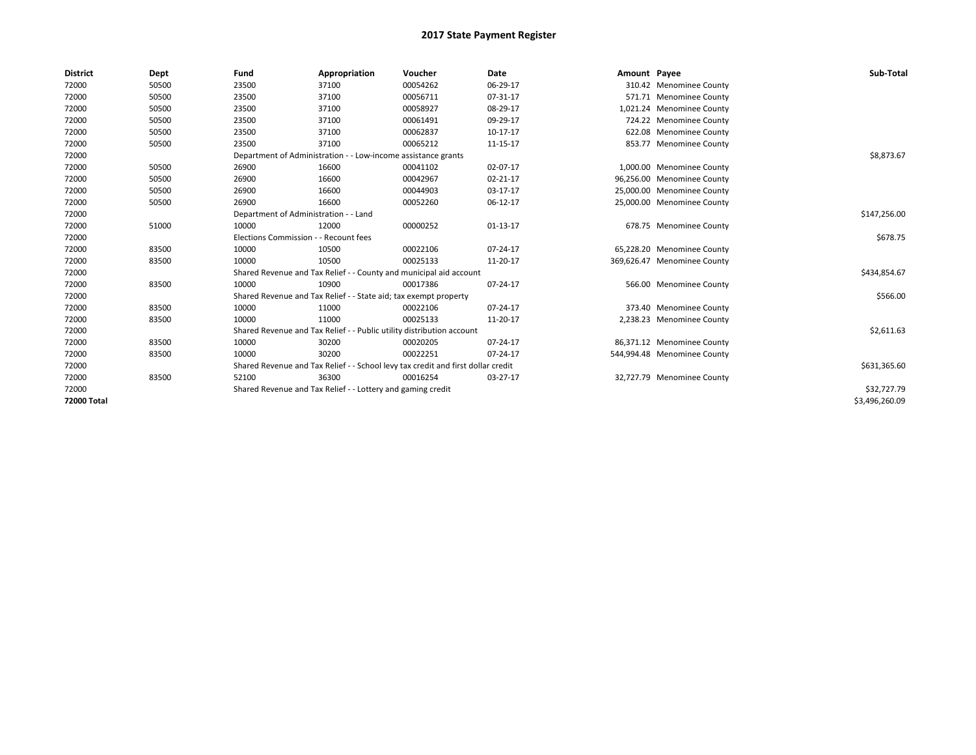| <b>District</b>    | Dept  | Fund                                                                             | Appropriation                                                      | Voucher      | <b>Date</b>    | Amount Payee |                             | Sub-Total      |
|--------------------|-------|----------------------------------------------------------------------------------|--------------------------------------------------------------------|--------------|----------------|--------------|-----------------------------|----------------|
| 72000              | 50500 | 23500                                                                            | 37100                                                              | 00054262     | 06-29-17       |              | 310.42 Menominee County     |                |
| 72000              | 50500 | 23500                                                                            | 37100                                                              | 00056711     | 07-31-17       |              | 571.71 Menominee County     |                |
| 72000              | 50500 | 23500                                                                            | 37100                                                              | 00058927     | 08-29-17       |              | 1,021.24 Menominee County   |                |
| 72000              | 50500 | 23500                                                                            | 37100                                                              | 00061491     | 09-29-17       |              | 724.22 Menominee County     |                |
| 72000              | 50500 | 23500                                                                            | 37100                                                              | 00062837     | 10-17-17       |              | 622.08 Menominee County     |                |
| 72000              | 50500 | 23500                                                                            | 37100                                                              | 00065212     | 11-15-17       |              | 853.77 Menominee County     |                |
| 72000              |       |                                                                                  | Department of Administration - - Low-income assistance grants      |              |                |              |                             | \$8,873.67     |
| 72000              | 50500 | 26900                                                                            | 16600                                                              | 00041102     | 02-07-17       |              | 1,000.00 Menominee County   |                |
| 72000              | 50500 | 26900                                                                            | 16600                                                              | 00042967     | $02 - 21 - 17$ |              | 96,256.00 Menominee County  |                |
| 72000              | 50500 | 26900                                                                            | 16600                                                              | 00044903     | 03-17-17       |              | 25,000.00 Menominee County  |                |
| 72000              | 50500 | 26900                                                                            | 16600                                                              | 00052260     | 06-12-17       |              | 25,000.00 Menominee County  |                |
| 72000              |       | Department of Administration - - Land                                            |                                                                    |              |                |              |                             | \$147,256.00   |
| 72000              | 51000 | 10000                                                                            | 12000                                                              | 00000252     | 01-13-17       |              | 678.75 Menominee County     |                |
| 72000              |       | Elections Commission - - Recount fees                                            |                                                                    |              |                |              |                             | \$678.75       |
| 72000              | 83500 | 10000                                                                            | 10500                                                              | 00022106     | 07-24-17       |              | 65,228.20 Menominee County  |                |
| 72000              | 83500 | 10000                                                                            | 10500                                                              | 00025133     | 11-20-17       |              | 369,626.47 Menominee County |                |
| 72000              |       |                                                                                  | Shared Revenue and Tax Relief - - County and municipal aid account |              |                |              |                             | \$434,854.67   |
| 72000              | 83500 | 10000                                                                            | 10900                                                              | 00017386     | 07-24-17       |              | 566.00 Menominee County     |                |
| 72000              |       |                                                                                  | Shared Revenue and Tax Relief - - State aid; tax exempt property   |              |                |              |                             | \$566.00       |
| 72000              | 83500 | 10000                                                                            | 11000                                                              | 00022106     | 07-24-17       |              | 373.40 Menominee County     |                |
| 72000              | 83500 | 10000                                                                            | 11000                                                              | 00025133     | 11-20-17       |              | 2,238.23 Menominee County   |                |
| 72000              |       | Shared Revenue and Tax Relief - - Public utility distribution account            |                                                                    | \$2,611.63   |                |              |                             |                |
| 72000              | 83500 | 10000                                                                            | 30200                                                              | 00020205     | 07-24-17       |              | 86,371.12 Menominee County  |                |
| 72000              | 83500 | 10000                                                                            | 30200                                                              | 00022251     | 07-24-17       |              | 544,994.48 Menominee County |                |
| 72000              |       | Shared Revenue and Tax Relief - - School levy tax credit and first dollar credit |                                                                    | \$631,365.60 |                |              |                             |                |
| 72000              | 83500 | 52100                                                                            | 36300                                                              | 00016254     | 03-27-17       |              | 32,727.79 Menominee County  |                |
| 72000              |       |                                                                                  | Shared Revenue and Tax Relief - - Lottery and gaming credit        |              |                |              |                             | \$32,727.79    |
| <b>72000 Total</b> |       |                                                                                  |                                                                    |              |                |              |                             | \$3,496,260.09 |